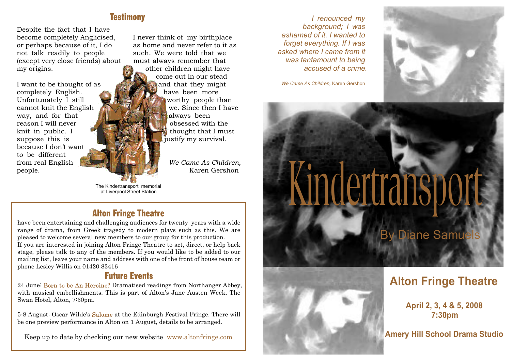# **Testimony**

Despite the fact that I have become completely Anglicised, or perhaps because of it, I do not talk readily to people (except very close friends) about my origins.

I want to be thought of as completely English. Unfortunately I still cannot knit the English way, and for that reason I will never knit in public. I suppose this is because I don't want to be different from real English people.

I never think of my birthplace as home and never refer to it as such. We were told that we must always remember that other children might have come out in our stead and that they might have been more worthy people than we. Since then I have always been obsessed with the thought that I must justify my survival.

> *We Came As Children,* Karen Gershon

The Kindertransport memorial<br>at Liverpool Street Station

# Alton Fringe Theatre

have been entertaining and challenging audiences for twenty years with a wide range of drama, from Greek tragedy to modern plays such as this. We are pleased to welcome several new members to our group for this production. If you are interested in joining Alton Fringe Theatre to act, direct, or help back stage, please talk to any of the members. If you would like to be added to our mailing list, leave your name and address with one of the front of house team or phone Lesley Willis on 01420 83416

# Future Events

24 June: Born to be An Heroine? Dramatised readings from Northanger Abbey, with musical embellishments. This is part of Alton's Jane Austen Week. The Swan Hotel, Alton, 7:30pm.

5-8 August: Oscar Wilde's Salome at the Edinburgh Festival Fringe. There will be one preview performance in Alton on 1 August, details to be arranged.

Keep up to date by checking our new website www.altonfringe.com

*I renounced my background; I was ashamed of it. I wanted to forget everything. If I was asked where I came from it was tantamount to being accused of a crime.*

*We Came As Children,* Karen Gershon

Kindertranspo

# **By Diane Samuel**



# **Alton Fringe Theatre**

**April 2, 3, 4 & 5, 2008 7:30pm**

**Amery Hill School Drama Studio**